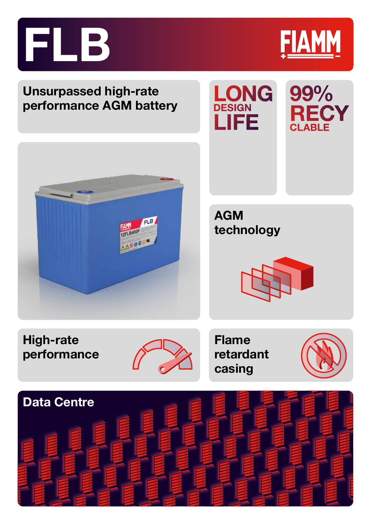



AGM